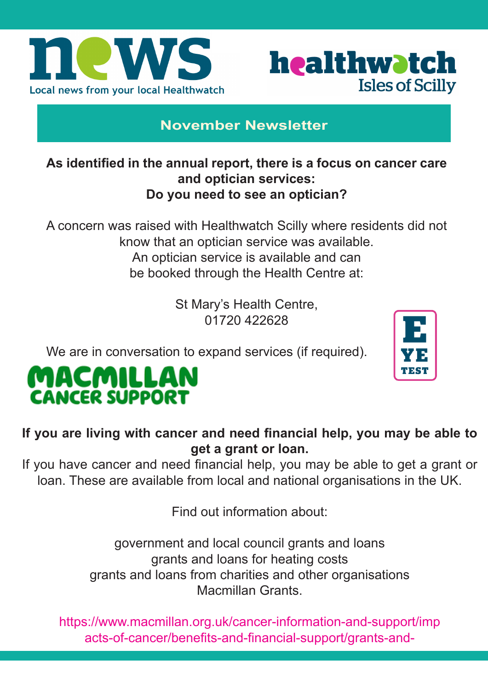



## **November Newsletter**

#### **As identified in the annual report, there is a focus on cancer care and optician services: Do you need to see an optician?**

A concern was raised with Healthwatch Scilly where residents did not know that an optician service was available. An optician service is available and can be booked through the Health Centre at:

> St Mary's Health Centre, 01720 422628

We are in conversation to expand services (if required).



# MACMILLAN **CANCER SUPPORT**

**If you are living with cancer and need financial help, you may be able to get a grant or loan.**

If you have cancer and need financial help, you may be able to get a grant or loan. These are available from local and national organisations in the UK.

Find out information about:

government and local council grants and loans grants and loans for heating costs grants and loans from charities and other organisations Macmillan Grants.

https://www.macmillan.org.uk/cancer-information-and-support/imp acts-of-cancer/benefits-and-financial-support/grants-and-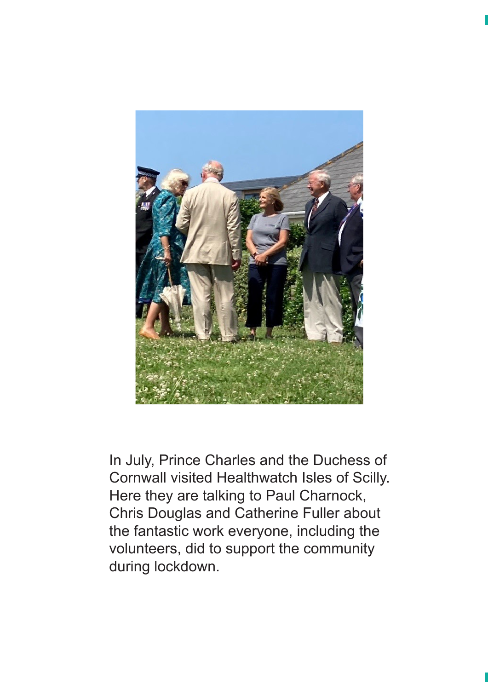

In July, Prince Charles and the Duchess of Cornwall visited Healthwatch Isles of Scilly. Here they are talking to Paul Charnock, Chris Douglas and Catherine Fuller about the fantastic work everyone, including the volunteers, did to support the community during lockdown.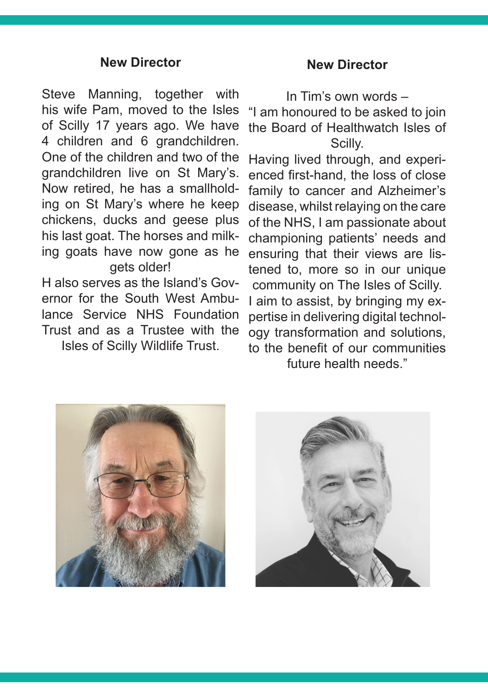#### **New Director**

Steve Manning, together with his wife Pam, moved to the Isles of Scilly 17 years ago. We have 4 children and 6 grandchildren. One of the children and two of the grandchildren live on St Mary's. Now retired, he has a smallholding on St Mary's where he keep chickens, ducks and geese plus his last goat. The horses and milking goats have now gone as he gets older!

H also serves as the Island's Governor for the South West Ambulance Service NHS Foundation Trust and as a Trustee with the Isles of Scilly Wildlife Trust.

#### **New Director**

In Tim's own words –

"I am honoured to be asked to join the Board of Healthwatch Isles of Scilly.

Having lived through, and experienced first-hand, the loss of close family to cancer and Alzheimer's disease, whilst relaying on the care of the NHS, I am passionate about championing patients' needs and ensuring that their views are listened to, more so in our unique community on The Isles of Scilly. I aim to assist, by bringing my expertise in delivering digital technology transformation and solutions, to the benefit of our communities future health needs."



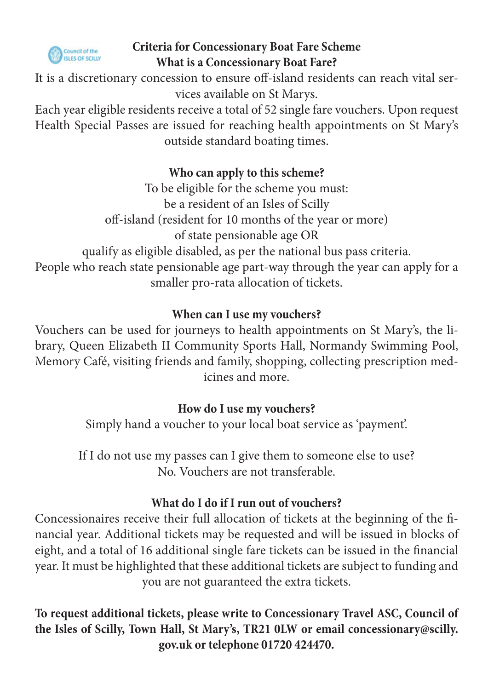

## **Criteria for Concessionary Boat Fare Scheme What is a Concessionary Boat Fare?**

It is a discretionary concession to ensure off-island residents can reach vital services available on St Marys.

Each year eligible residents receive a total of 52 single fare vouchers. Upon request Health Special Passes are issued for reaching health appointments on St Mary's outside standard boating times.

## **Who can apply to this scheme?**

To be eligible for the scheme you must: be a resident of an Isles of Scilly off-island (resident for 10 months of the year or more) of state pensionable age OR qualify as eligible disabled, as per the national bus pass criteria. People who reach state pensionable age part-way through the year can apply for a smaller pro-rata allocation of tickets.

## **When can I use my vouchers?**

Vouchers can be used for journeys to health appointments on St Mary's, the library, Queen Elizabeth II Community Sports Hall, Normandy Swimming Pool, Memory Café, visiting friends and family, shopping, collecting prescription medicines and more.

## **How do I use my vouchers?**

Simply hand a voucher to your local boat service as 'payment'.

If I do not use my passes can I give them to someone else to use? No. Vouchers are not transferable.

## **What do I do if I run out of vouchers?**

Concessionaires receive their full allocation of tickets at the beginning of the financial year. Additional tickets may be requested and will be issued in blocks of eight, and a total of 16 additional single fare tickets can be issued in the financial year. It must be highlighted that these additional tickets are subject to funding and you are not guaranteed the extra tickets.

**To request additional tickets, please write to Concessionary Travel ASC, Council of the Isles of Scilly, Town Hall, St Mary's, TR21 0LW or email concessionary@scilly. gov.uk or telephone 01720 424470.**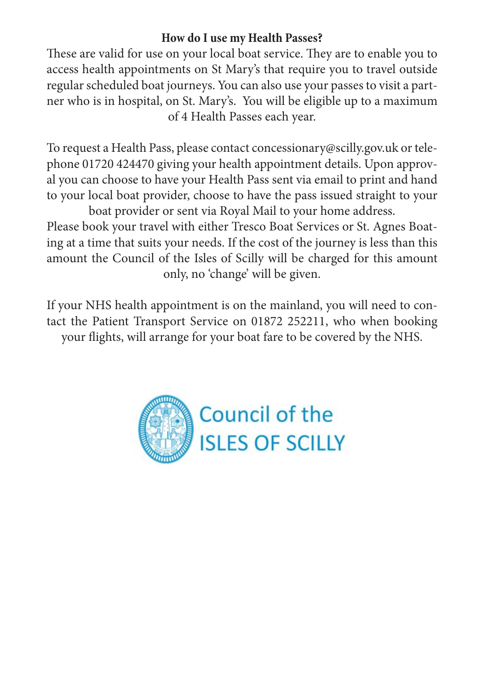#### **How do I use my Health Passes?**

These are valid for use on your local boat service. They are to enable you to access health appointments on St Mary's that require you to travel outside regular scheduled boat journeys. You can also use your passes to visit a partner who is in hospital, on St. Mary's. You will be eligible up to a maximum of 4 Health Passes each year.

To request a Health Pass, please contact concessionary@scilly.gov.uk or telephone 01720 424470 giving your health appointment details. Upon approval you can choose to have your Health Pass sent via email to print and hand to your local boat provider, choose to have the pass issued straight to your

boat provider or sent via Royal Mail to your home address. Please book your travel with either Tresco Boat Services or St. Agnes Boating at a time that suits your needs. If the cost of the journey is less than this amount the Council of the Isles of Scilly will be charged for this amount only, no 'change' will be given.

If your NHS health appointment is on the mainland, you will need to contact the Patient Transport Service on 01872 252211, who when booking your flights, will arrange for your boat fare to be covered by the NHS.

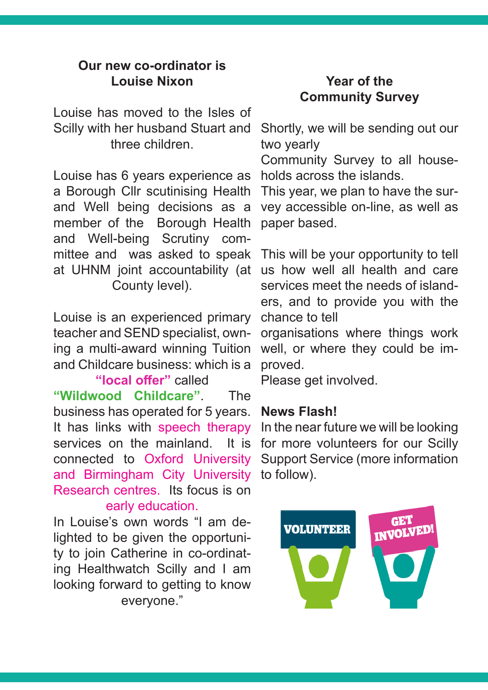#### **Our new co-ordinator is Louise Nixon**

Louise has moved to the Isles of Scilly with her husband Stuart and three children.

Louise has 6 years experience as a Borough Cllr scutinising Health and Well being decisions as a member of the Borough Health and Well-being Scrutiny committee and was asked to speak at UHNM joint accountability (at County level).

Louise is an experienced primary teacher and SEND specialist, owning a multi-award winning Tuition and Childcare business: which is a

**"local offer"** called **"Wildwood Childcare"**. The business has operated for 5 years. It has links with speech therapy services on the mainland. It is connected to Oxford University and Birmingham City University Research centres. Its focus is on early education.

In Louise's own words "I am delighted to be given the opportunity to join Catherine in co-ordinating Healthwatch Scilly and I am looking forward to getting to know everyone."

## **Year of the Community Survey**

Shortly, we will be sending out our two yearly

Community Survey to all households across the islands.

This year, we plan to have the survey accessible on-line, as well as paper based.

This will be your opportunity to tell us how well all health and care services meet the needs of islanders, and to provide you with the chance to tell

organisations where things work well, or where they could be improved.

Please get involved.

#### **News Flash!**

In the near future we will be looking for more volunteers for our Scilly Support Service (more information to follow).

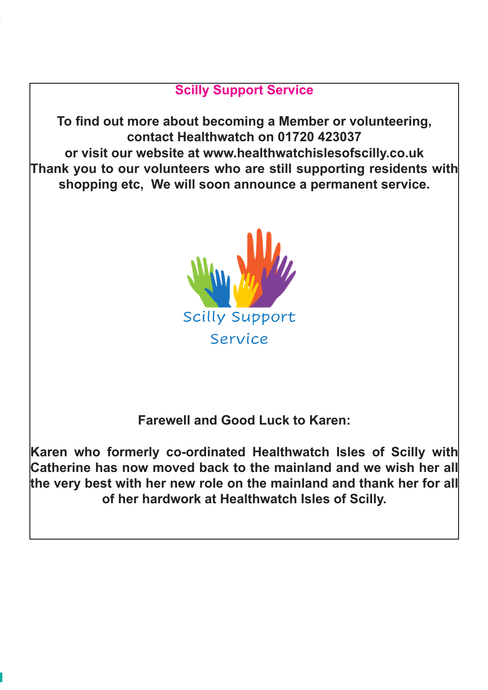## **Scilly Support Service**

**To find out more about becoming a Member or volunteering, contact Healthwatch on 01720 423037 or visit our website at www.healthwatchislesofscilly.co.uk Thank you to our volunteers who are still supporting residents with shopping etc, We will soon announce a permanent service.**



**Farewell and Good Luck to Karen:**

**Karen who formerly co-ordinated Healthwatch Isles of Scilly with Catherine has now moved back to the mainland and we wish her all the very best with her new role on the mainland and thank her for all of her hardwork at Healthwatch Isles of Scilly.**